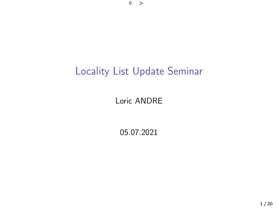# Locality List Update Seminar

#### Loric ANDRE

05.07.2021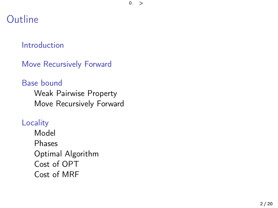$0.$ 

## Outline

#### [Introduction](#page-2-0)

[Move Recursively Forward](#page-3-0)

#### [Base bound](#page-4-0) [Weak Pairwise Property](#page-5-0) [Move Recursively Forward](#page-7-0)

**[Locality](#page-10-0)** 

[Model](#page-10-0) [Phases](#page-11-0) [Optimal Algorithm](#page-12-0) [Cost of OPT](#page-13-0) [Cost of MRF](#page-14-0)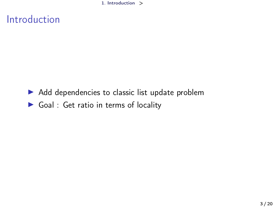1. [Introduction](#page-2-0) >

# <span id="page-2-0"></span>Introduction

- $\blacktriangleright$  Add dependencies to classic list update problem
- $\triangleright$  Goal : Get ratio in terms of locality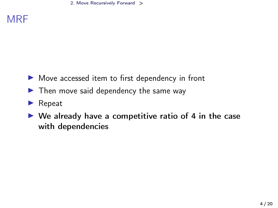#### <span id="page-3-0"></span>**MRF**

- $\triangleright$  Move accessed item to first dependency in front
- $\blacktriangleright$  Then move said dependency the same way
- $\blacktriangleright$  Repeat
- $\triangleright$  We already have a competitive ratio of 4 in the case with dependencies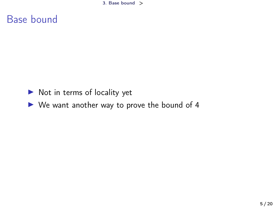3. [Base bound](#page-4-0) >

#### <span id="page-4-0"></span>Base bound

- $\triangleright$  Not in terms of locality yet
- $\triangleright$  We want another way to prove the bound of 4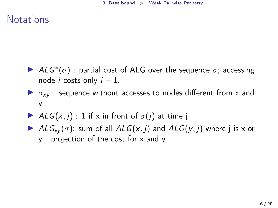### <span id="page-5-0"></span>**Notations**

- ALG<sup>\*</sup>( $\sigma$ ) : partial cost of ALG over the sequence  $\sigma$ ; accessing node *i* costs only  $i - 1$ .
- $\triangleright$   $\sigma_{xy}$  : sequence without accesses to nodes different from x and y
- ALG(x, j) : 1 if x in front of  $\sigma(j)$  at time j
- AL $G_{xy}(\sigma)$ : sum of all  $ALG(x, j)$  and  $ALG(y, j)$  where j is x or y : projection of the cost for x and y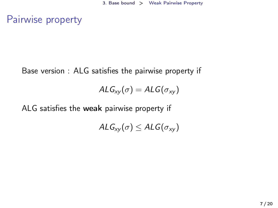Pairwise property

Base version : ALG satisfies the pairwise property if

$$
ALG_{xy}(\sigma) = ALG(\sigma_{xy})
$$

ALG satisfies the weak pairwise property if

$$
\mathit{ALG}_{xy}(\sigma) \leq \mathit{ALG}(\sigma_{xy})
$$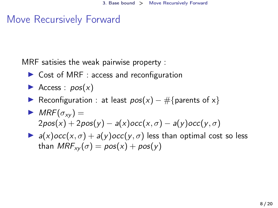## <span id="page-7-0"></span>Move Recursively Forward

MRF satisies the weak pairwise property :

- $\triangleright$  Cost of MRF : access and reconfiguration
- Access :  $pos(x)$
- Reconfiguration : at least  $pos(x) #$ {parents of x}
- $MRF(\sigma_{xy}) =$  $2pos(x) + 2pos(y) - a(x)occ(x, \sigma) - a(y)occ(y, \sigma)$
- $\blacktriangleright$  a(x)  $occ(x, \sigma) + a(y) occ(y, \sigma)$  less than optimal cost so less than  $MRF_{xy}(\sigma) = pos(x) + pos(y)$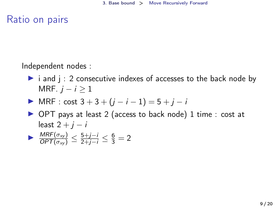Ratio on pairs

Independent nodes :

- $\triangleright$  i and j : 2 consecutive indexes of accesses to the back node by MRF.  $j - i \geq 1$
- $\triangleright$  MRF : cost 3 + 3 + (*i* − *i* − 1) = 5 + *j* − *i*
- ▶ OPT pays at least 2 (access to back node) 1 time : cost at least  $2 + i - i$

$$
\triangleright \frac{\textit{MRF}(\sigma_{xy})}{\textit{OPT}(\sigma_{xy})} \leq \frac{5+j-i}{2+j-i} \leq \frac{6}{3} = 2
$$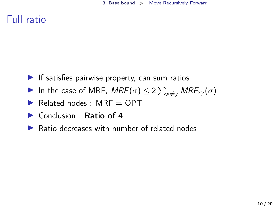## Full ratio

- $\blacktriangleright$  If satisfies pairwise property, can sum ratios
- In the case of MRF,  $\mathit{MRF}(\sigma) \leq 2 \sum_{x \neq y} \mathit{MRF}_{xy}(\sigma)$
- $\blacktriangleright$  Related nodes : MRF = OPT
- $\triangleright$  Conclusion : Ratio of 4
- $\triangleright$  Ratio decreases with number of related nodes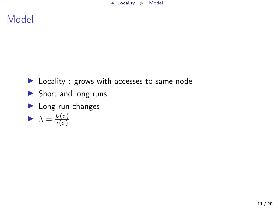## <span id="page-10-0"></span>Model

- $\blacktriangleright$  Locality : grows with accesses to same node
- $\blacktriangleright$  Short and long runs
- $\blacktriangleright$  Long run changes

$$
\blacktriangleright \ \lambda = \frac{l_c(\sigma)}{r(\sigma)}
$$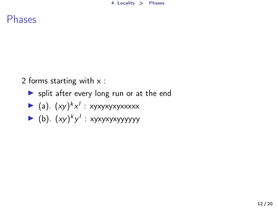<span id="page-11-0"></span>Phases

2 forms starting with x :

 $\triangleright$  split after every long run or at the end

$$
\blacktriangleright
$$
 (a).  $(xy)^k x^l : xyxyxyxyxxxxx$ 

► (b). 
$$
(xy)^k y^l
$$
 : xyxyxyxyyyyyy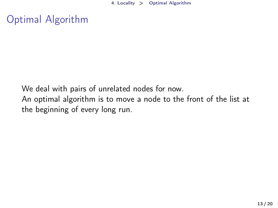4. [Locality](#page-10-0) > [Optimal Algorithm](#page-12-0)

<span id="page-12-0"></span>Optimal Algorithm

We deal with pairs of unrelated nodes for now. An optimal algorithm is to move a node to the front of the list at the beginning of every long run.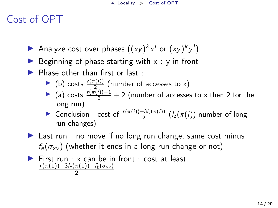# <span id="page-13-0"></span>Cost of OPT

- Analyze cost over phases  $((xy)^k x^l$  or  $(xy)^k y^l$ )
- Beginning of phase starting with  $x : y$  in front
- $\blacktriangleright$  Phase other than first or last :
	- ► (b) costs  $\frac{r(\pi(i))}{2}$  (number of accesses to x)
	- (a) costs  $\frac{r(\pi(i))-1}{2}+2$  (number of accesses to x then 2 for the long run)
	- **►** Conclusion : cost of  $\frac{r(\pi(i))+3l_c(\pi(i))}{2}$  ( $l_c(\pi(i))$  number of long run changes)
- $\blacktriangleright$  Last run : no move if no long run change, same cost minus  $f_{\rm e}(\sigma_{\rm xv})$  (whether it ends in a long run change or not)
- $\triangleright$  First run : x can be in front : cost at least  $r(\pi(1))+3l_c(\pi(1))-f_b(\sigma_{xy})$ 2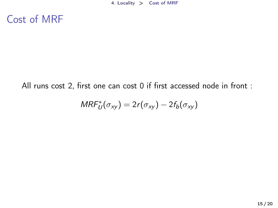## <span id="page-14-0"></span>Cost of MRF

#### All runs cost 2, first one can cost 0 if first accessed node in front :

$$
\mathit{MRF}^*_{U}(\sigma_{xy})=2r(\sigma_{xy})-2f_b(\sigma_{xy})
$$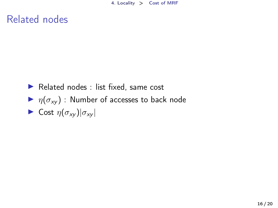### Related nodes

- $\blacktriangleright$  Related nodes : list fixed, same cost
- $\blacktriangleright$   $\eta(\sigma_{xy})$  : Number of accesses to back node
- $\triangleright$  Cost  $\eta(\sigma_{xy})|\sigma_{xy}|$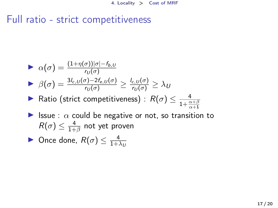# Full ratio - strict competitiveness

\n- \n
$$
\alpha(\sigma) = \frac{(1+\eta(\sigma))|\sigma| - f_{b,U}}{r_U(\sigma)}
$$
\n
\n- \n
$$
\beta(\sigma) = \frac{3l_{c,U}(\sigma) - 2f_{e,U}(\sigma)}{r_U(\sigma)} \geq \frac{l_{c,U}(\sigma)}{r_U(\sigma)} \geq \lambda_U
$$
\n
\n- \n
$$
\beta(\sigma) \leq \frac{3l_{c,U}(\sigma) - 2f_{e,U}(\sigma)}{r_U(\sigma)} \geq \lambda_U
$$
\n
\n- \n
$$
\beta(\sigma) \leq \frac{4}{1+\frac{\alpha+\beta}{\alpha+1}}
$$
\n
\n- \n
$$
\beta(\sigma) \leq \frac{4}{1+\beta}
$$
\n not yet proven\n
\n

• Once done, 
$$
R(\sigma) \leq \frac{4}{1 + \lambda_U}
$$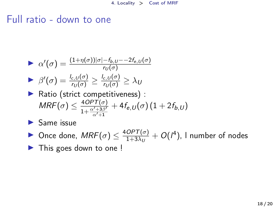#### Full ratio - down to one

\n- ► 
$$
\alpha'(\sigma) = \frac{(1+\eta(\sigma))|\sigma| - f_{b,U} - 2f_{e,U}(\sigma)}{r_U(\sigma)}
$$
\n- ▶  $\beta'(\sigma) = \frac{l_{c,U}(\sigma)}{r_U(\sigma)} \geq \frac{l_{c,U}(\sigma)}{r_U(\sigma)} \geq \lambda_U$
\n- ▶ Ratio (strict competitiveness):  $MRF(\sigma) \leq \frac{4OPT(\sigma)}{1 + \frac{\alpha' + 3\beta'}{\alpha' + 1}} + 4f_{e,U}(\sigma)(1 + 2f_{b,U})$
\n

 $\blacktriangleright$  Same issue

• Once done,  $MRF(\sigma) \leq \frac{4OPT(\sigma)}{1+3\lambda}$  $\frac{OPT(\sigma)}{1+3\lambda_U}+O(l^4)$ , I number of nodes

 $\blacktriangleright$  This goes down to one !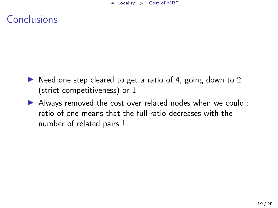# **Conclusions**

- $\triangleright$  Need one step cleared to get a ratio of 4, going down to 2 (strict competitiveness) or 1
- $\blacktriangleright$  Always removed the cost over related nodes when we could : ratio of one means that the full ratio decreases with the number of related pairs !